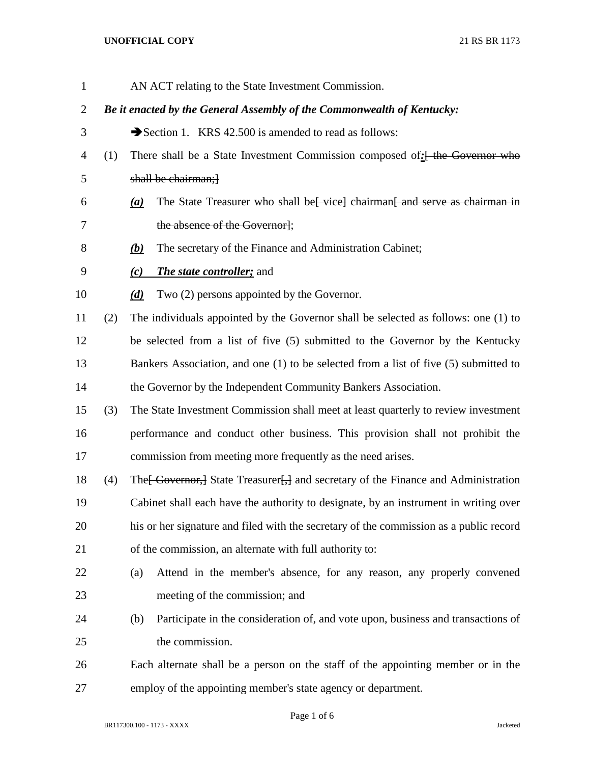## **UNOFFICIAL COPY** 21 RS BR 1173

| $\mathbf{1}$   |                                                                        |                                                                                         | AN ACT relating to the State Investment Commission.                                          |  |
|----------------|------------------------------------------------------------------------|-----------------------------------------------------------------------------------------|----------------------------------------------------------------------------------------------|--|
| $\overline{2}$ | Be it enacted by the General Assembly of the Commonwealth of Kentucky: |                                                                                         |                                                                                              |  |
| 3              |                                                                        | Section 1. KRS 42.500 is amended to read as follows:                                    |                                                                                              |  |
| 4              | (1)                                                                    | There shall be a State Investment Commission composed of: <del>[ the Governor who</del> |                                                                                              |  |
| 5              |                                                                        |                                                                                         | shall be chairman;                                                                           |  |
| 6              |                                                                        | (a)                                                                                     | The State Treasurer who shall be vice chairman and serve as chairman in                      |  |
| 7              |                                                                        |                                                                                         | the absence of the Governor];                                                                |  |
| 8              |                                                                        | <u>(b)</u>                                                                              | The secretary of the Finance and Administration Cabinet;                                     |  |
| 9              |                                                                        | (c)                                                                                     | <b>The state controller; and</b>                                                             |  |
| 10             |                                                                        | (d)                                                                                     | Two (2) persons appointed by the Governor.                                                   |  |
| 11             | (2)                                                                    |                                                                                         | The individuals appointed by the Governor shall be selected as follows: one (1) to           |  |
| 12             |                                                                        |                                                                                         | be selected from a list of five (5) submitted to the Governor by the Kentucky                |  |
| 13             |                                                                        |                                                                                         | Bankers Association, and one (1) to be selected from a list of five (5) submitted to         |  |
| 14             |                                                                        |                                                                                         | the Governor by the Independent Community Bankers Association.                               |  |
| 15             | (3)                                                                    |                                                                                         | The State Investment Commission shall meet at least quarterly to review investment           |  |
| 16             |                                                                        |                                                                                         | performance and conduct other business. This provision shall not prohibit the                |  |
| 17             |                                                                        |                                                                                         | commission from meeting more frequently as the need arises.                                  |  |
| 18             | (4)                                                                    |                                                                                         | The Governor, State Treasurer <sub>1</sub> , and secretary of the Finance and Administration |  |
| 19             |                                                                        | Cabinet shall each have the authority to designate, by an instrument in writing over    |                                                                                              |  |
| 20             |                                                                        | his or her signature and filed with the secretary of the commission as a public record  |                                                                                              |  |
| 21             |                                                                        | of the commission, an alternate with full authority to:                                 |                                                                                              |  |
| 22             |                                                                        | (a)                                                                                     | Attend in the member's absence, for any reason, any properly convened                        |  |
| 23             |                                                                        |                                                                                         | meeting of the commission; and                                                               |  |
| 24             |                                                                        | (b)                                                                                     | Participate in the consideration of, and vote upon, business and transactions of             |  |
| 25             |                                                                        |                                                                                         | the commission.                                                                              |  |
| 26             |                                                                        |                                                                                         | Each alternate shall be a person on the staff of the appointing member or in the             |  |
| 27             |                                                                        |                                                                                         | employ of the appointing member's state agency or department.                                |  |

Page 1 of 6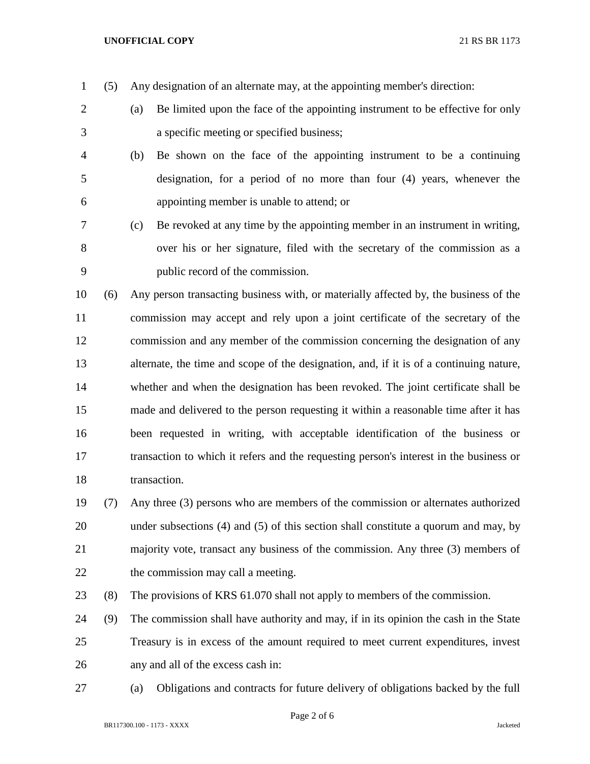## **UNOFFICIAL COPY** 21 RS BR 1173

(5) Any designation of an alternate may, at the appointing member's direction:

- (a) Be limited upon the face of the appointing instrument to be effective for only a specific meeting or specified business;
- (b) Be shown on the face of the appointing instrument to be a continuing designation, for a period of no more than four (4) years, whenever the appointing member is unable to attend; or
- (c) Be revoked at any time by the appointing member in an instrument in writing, over his or her signature, filed with the secretary of the commission as a public record of the commission.

 (6) Any person transacting business with, or materially affected by, the business of the commission may accept and rely upon a joint certificate of the secretary of the commission and any member of the commission concerning the designation of any alternate, the time and scope of the designation, and, if it is of a continuing nature, whether and when the designation has been revoked. The joint certificate shall be made and delivered to the person requesting it within a reasonable time after it has been requested in writing, with acceptable identification of the business or transaction to which it refers and the requesting person's interest in the business or transaction.

- (7) Any three (3) persons who are members of the commission or alternates authorized under subsections (4) and (5) of this section shall constitute a quorum and may, by majority vote, transact any business of the commission. Any three (3) members of 22 the commission may call a meeting.
- (8) The provisions of KRS 61.070 shall not apply to members of the commission.
- (9) The commission shall have authority and may, if in its opinion the cash in the State Treasury is in excess of the amount required to meet current expenditures, invest any and all of the excess cash in:
- (a) Obligations and contracts for future delivery of obligations backed by the full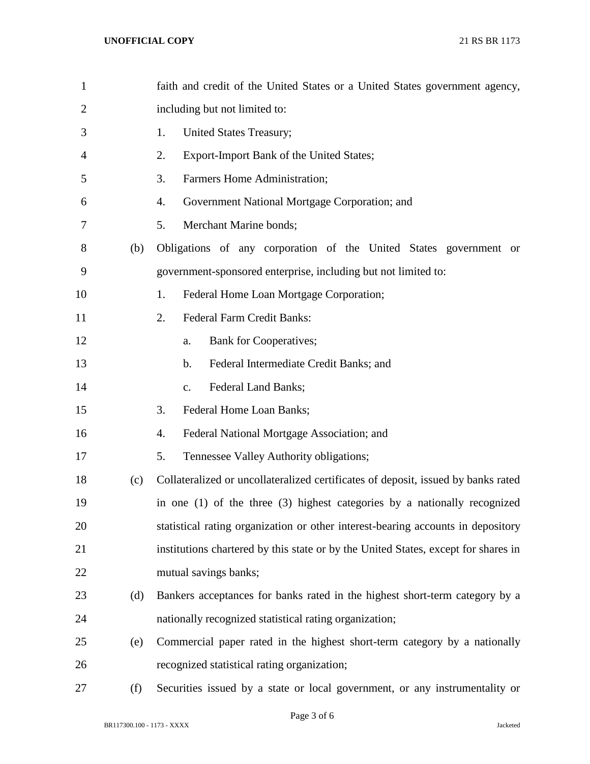| $\mathbf{1}$   |     | faith and credit of the United States or a United States government agency,        |
|----------------|-----|------------------------------------------------------------------------------------|
| $\overline{2}$ |     | including but not limited to:                                                      |
| 3              |     | <b>United States Treasury;</b><br>1.                                               |
| 4              |     | 2.<br>Export-Import Bank of the United States;                                     |
| 5              |     | 3.<br>Farmers Home Administration;                                                 |
| 6              |     | 4.<br>Government National Mortgage Corporation; and                                |
| 7              |     | 5.<br>Merchant Marine bonds;                                                       |
| 8              | (b) | Obligations of any corporation of the United States government or                  |
| 9              |     | government-sponsored enterprise, including but not limited to:                     |
| 10             |     | 1.<br>Federal Home Loan Mortgage Corporation;                                      |
| 11             |     | 2.<br><b>Federal Farm Credit Banks:</b>                                            |
| 12             |     | <b>Bank for Cooperatives;</b><br>a.                                                |
| 13             |     | Federal Intermediate Credit Banks; and<br>b.                                       |
| 14             |     | Federal Land Banks;<br>c.                                                          |
| 15             |     | 3.<br>Federal Home Loan Banks;                                                     |
| 16             |     | Federal National Mortgage Association; and<br>4.                                   |
| 17             |     | 5.<br>Tennessee Valley Authority obligations;                                      |
| 18             | (c) | Collateralized or uncollateralized certificates of deposit, issued by banks rated  |
| 19             |     | in one $(1)$ of the three $(3)$ highest categories by a nationally recognized      |
| 20             |     | statistical rating organization or other interest-bearing accounts in depository   |
| 21             |     | institutions chartered by this state or by the United States, except for shares in |
| 22             |     | mutual savings banks;                                                              |
| 23             | (d) | Bankers acceptances for banks rated in the highest short-term category by a        |
| 24             |     | nationally recognized statistical rating organization;                             |
| 25             | (e) | Commercial paper rated in the highest short-term category by a nationally          |
| 26             |     | recognized statistical rating organization;                                        |
| 27             | (f) | Securities issued by a state or local government, or any instrumentality or        |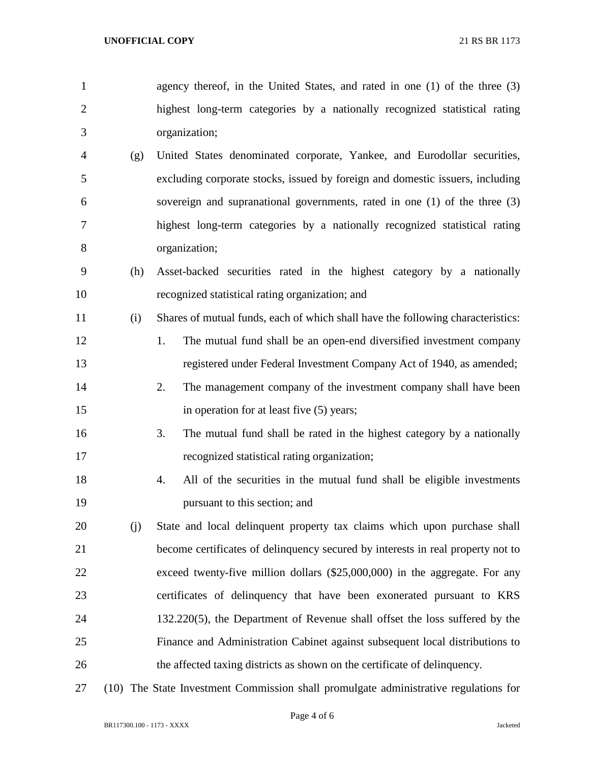- agency thereof, in the United States, and rated in one (1) of the three (3) highest long-term categories by a nationally recognized statistical rating organization;
- (g) United States denominated corporate, Yankee, and Eurodollar securities, excluding corporate stocks, issued by foreign and domestic issuers, including sovereign and supranational governments, rated in one (1) of the three (3) highest long-term categories by a nationally recognized statistical rating organization;
- (h) Asset-backed securities rated in the highest category by a nationally recognized statistical rating organization; and
- (i) Shares of mutual funds, each of which shall have the following characteristics:
- 12 1. The mutual fund shall be an open-end diversified investment company registered under Federal Investment Company Act of 1940, as amended;
- 2. The management company of the investment company shall have been 15 in operation for at least five (5) years;
- 3. The mutual fund shall be rated in the highest category by a nationally recognized statistical rating organization;
- 4. All of the securities in the mutual fund shall be eligible investments pursuant to this section; and
- (j) State and local delinquent property tax claims which upon purchase shall become certificates of delinquency secured by interests in real property not to exceed twenty-five million dollars (\$25,000,000) in the aggregate. For any certificates of delinquency that have been exonerated pursuant to KRS 132.220(5), the Department of Revenue shall offset the loss suffered by the Finance and Administration Cabinet against subsequent local distributions to the affected taxing districts as shown on the certificate of delinquency.
- (10) The State Investment Commission shall promulgate administrative regulations for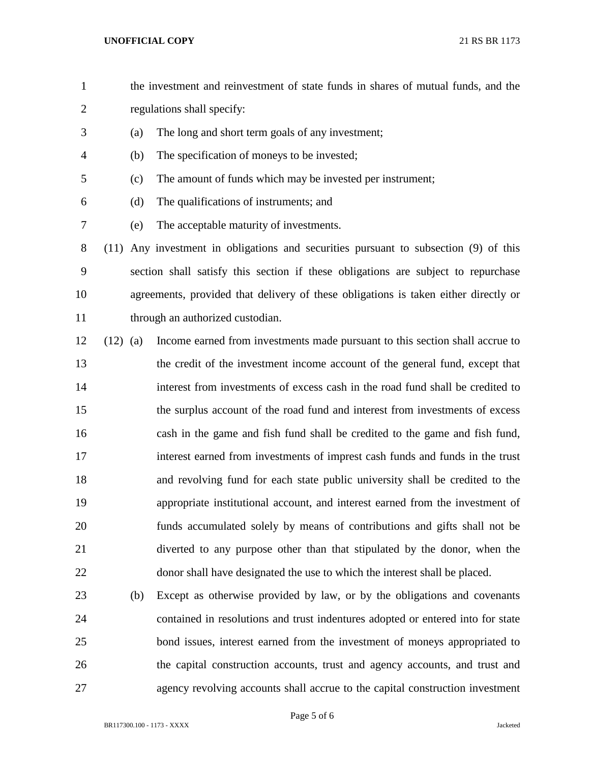- the investment and reinvestment of state funds in shares of mutual funds, and the regulations shall specify:
- (a) The long and short term goals of any investment;
- (b) The specification of moneys to be invested;
- (c) The amount of funds which may be invested per instrument;
- (d) The qualifications of instruments; and
- (e) The acceptable maturity of investments.

 (11) Any investment in obligations and securities pursuant to subsection (9) of this section shall satisfy this section if these obligations are subject to repurchase agreements, provided that delivery of these obligations is taken either directly or 11 through an authorized custodian.

- (12) (a) Income earned from investments made pursuant to this section shall accrue to the credit of the investment income account of the general fund, except that interest from investments of excess cash in the road fund shall be credited to the surplus account of the road fund and interest from investments of excess cash in the game and fish fund shall be credited to the game and fish fund, interest earned from investments of imprest cash funds and funds in the trust and revolving fund for each state public university shall be credited to the appropriate institutional account, and interest earned from the investment of funds accumulated solely by means of contributions and gifts shall not be diverted to any purpose other than that stipulated by the donor, when the donor shall have designated the use to which the interest shall be placed.
- (b) Except as otherwise provided by law, or by the obligations and covenants contained in resolutions and trust indentures adopted or entered into for state bond issues, interest earned from the investment of moneys appropriated to the capital construction accounts, trust and agency accounts, and trust and agency revolving accounts shall accrue to the capital construction investment